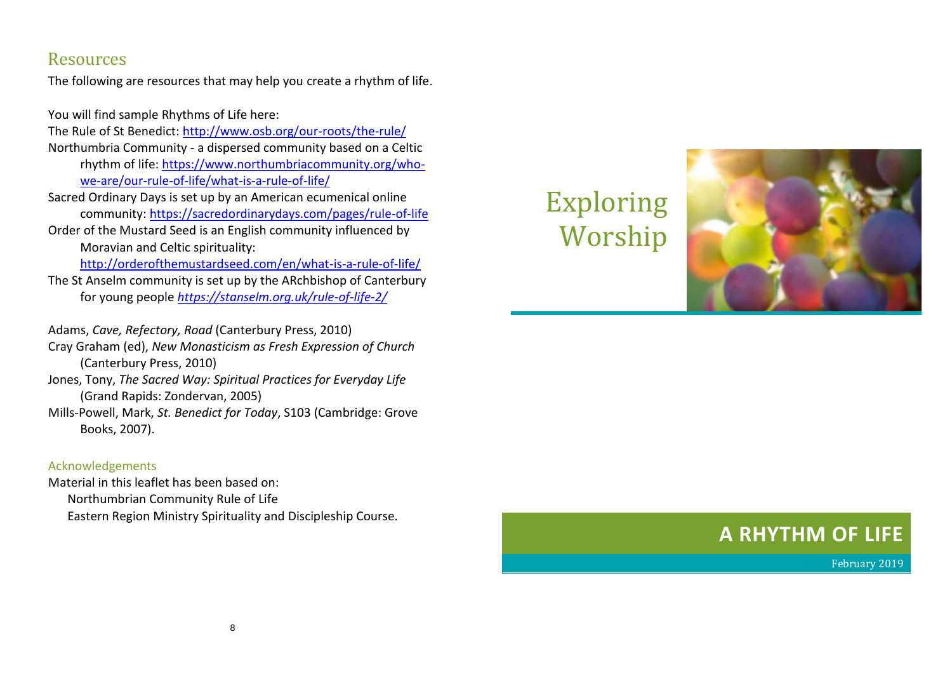## Resources

The following are resources that may help you create a rhythm of life.

You will find sample Rhythms of Life here:

The Rule of St Benedict:<http://www.osb.org/our-roots/the-rule/>

- Northumbria Community a dispersed community based on a Celtic rhythm of life: [https://www.northumbriacommunity.org/who](https://www.northumbriacommunity.org/who-we-are/our-rule-of-life/what-is-a-rule-of-life/)[we-are/our-rule-of-life/what-is-a-rule-of-life/](https://www.northumbriacommunity.org/who-we-are/our-rule-of-life/what-is-a-rule-of-life/)
- Sacred Ordinary Days is set up by an American ecumenical online community:<https://sacredordinarydays.com/pages/rule-of-life>
- Order of the Mustard Seed is an English community influenced by Moravian and Celtic spirituality:

<http://orderofthemustardseed.com/en/what-is-a-rule-of-life/>

The St Anselm community is set up by the ARchbishop of Canterbury for young people *<https://stanselm.org.uk/rule-of-life-2/>*

Adams, *Cave, Refectory, Road* (Canterbury Press, 2010)

Cray Graham (ed), *New Monasticism as Fresh Expression of Church* (Canterbury Press, 2010)

- Jones, Tony, *The Sacred Way: Spiritual Practices for Everyday Life* (Grand Rapids: Zondervan, 2005)
- Mills-Powell, Mark, *St. Benedict for Today*, S103 (Cambridge: Grove Books, 2007).

## Acknowledgements

Material in this leaflet has been based on: Northumbrian Community Rule of Life Eastern Region Ministry Spirituality and Discipleship Course.

## Exploring Worship



## **A RHYTHM OF LIFE**

February 2019